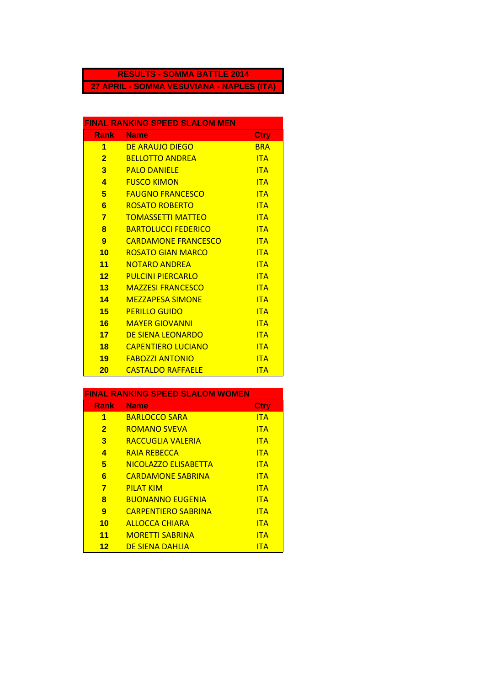## **RESULTS - SOMMA BATTLE 2014**

**27 APRIL - SOMMA VESUVIANA - NAPLES (ITA)**

| <b>FINAL RANKING SPEED SLALOM MEN</b> |                            |             |  |  |
|---------------------------------------|----------------------------|-------------|--|--|
|                                       | <b>Rank Name</b>           | <b>Ctry</b> |  |  |
| 1                                     | DE ARAUJO DIEGO            | <b>BRA</b>  |  |  |
| $\overline{\mathbf{2}}$               | <b>BELLOTTO ANDREA</b>     | <b>ITA</b>  |  |  |
| 3                                     | <b>PALO DANIFLF</b>        | <b>ITA</b>  |  |  |
| $\overline{A}$                        | <b>FUSCO KIMON</b>         | <b>ITA</b>  |  |  |
| 5                                     | <b>FAUGNO FRANCESCO</b>    | <b>ITA</b>  |  |  |
| 6                                     | <b>ROSATO ROBERTO</b>      | <b>ITA</b>  |  |  |
| $\overline{7}$                        | <b>TOMASSETTI MATTEO</b>   | <b>ITA</b>  |  |  |
| 8                                     | <b>BARTOLUCCI FEDERICO</b> | <b>ITA</b>  |  |  |
| 9                                     | <b>CARDAMONE FRANCESCO</b> | <b>ITA</b>  |  |  |
| 10                                    | ROSATO GIAN MARCO          | <b>ITA</b>  |  |  |
| 11                                    | NOTARO ANDREA              | <b>ITA</b>  |  |  |
| 12                                    | <b>PULCINI PIFRCARLO</b>   | <b>ITA</b>  |  |  |
| $13-$                                 | <b>MAZZESI FRANCESCO</b>   | <b>ITA</b>  |  |  |
| 14                                    | <b>MEZZAPESA SIMONE</b>    | <b>ITA</b>  |  |  |
| 15                                    | <b>PERILLO GUIDO</b>       | <b>ITA</b>  |  |  |
| 16                                    | <b>MAYER GIOVANNI</b>      | <b>ITA</b>  |  |  |
| 17                                    | DE SIENA LEONARDO          | <b>ITA</b>  |  |  |
| 18 <sup>2</sup>                       | <b>CAPENTIFRO LUCIANO</b>  | <b>ITA</b>  |  |  |
| 19                                    | <b>FABOZZI ANTONIO</b>     | <b>ITA</b>  |  |  |
| 20                                    | <b>CASTALDO RAFFAFLF</b>   | <b>ITA</b>  |  |  |

| <b>FINAL RANKING SPEED SLALOM WOMEN</b> |                            |             |  |  |
|-----------------------------------------|----------------------------|-------------|--|--|
| Rank                                    | <b>Name</b>                | <b>Ctry</b> |  |  |
| 1                                       | <b>BARLOCCO SARA</b>       | <b>ITA</b>  |  |  |
| $\overline{\mathbf{2}}$                 | <b>ROMANO SVEVA</b>        | <b>ITA</b>  |  |  |
| 3                                       | RACCUGLIA VALFRIA          | <b>ITA</b>  |  |  |
| $\overline{\mathbf{A}}$                 | <b>RAIA REBECCA</b>        | <b>ITA</b>  |  |  |
| 5                                       | NICOLAZZO FLISABETTA       | <b>ITA</b>  |  |  |
| 6                                       | <b>CARDAMONE SABRINA</b>   | <b>ITA</b>  |  |  |
| 7                                       | <b>PILAT KIM</b>           | <b>ITA</b>  |  |  |
| 8                                       | <b>BUONANNO EUGENIA</b>    | <b>ITA</b>  |  |  |
| 9                                       | <b>CARPENTIFRO SABRINA</b> | <b>ITA</b>  |  |  |
| 10                                      | ALLOCCA CHIARA             | <b>ITA</b>  |  |  |
| 11                                      | <b>MORFTTI SABRINA</b>     | <b>ITA</b>  |  |  |
| 12                                      | DE SIENA DAHLIA            | ITA         |  |  |